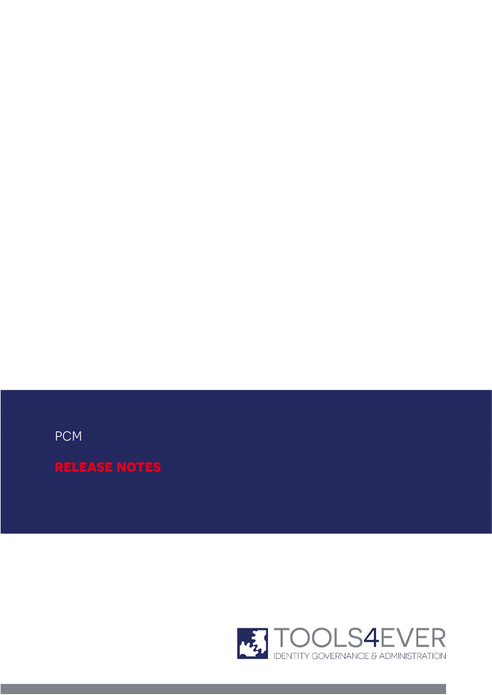

pcm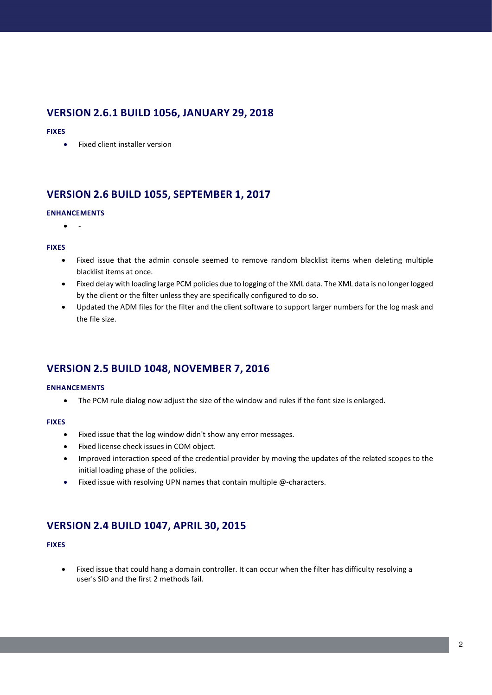## **VERSION 2.6.1 BUILD 1056, JANUARY 29, 2018**

#### **FIXES**

• Fixed client installer version

# **VERSION 2.6 BUILD 1055, SEPTEMBER 1, 2017**

#### **ENHANCEMENTS**

 $\bullet$ 

#### **FIXES**

- Fixed issue that the admin console seemed to remove random blacklist items when deleting multiple blacklist items at once.
- Fixed delay with loading large PCM policies due to logging of the XML data. The XML data is no longer logged by the client or the filter unless they are specifically configured to do so.
- Updated the ADM files for the filter and the client software to support larger numbers for the log mask and the file size.

# **VERSION 2.5 BUILD 1048, NOVEMBER 7, 2016**

#### **ENHANCEMENTS**

• The PCM rule dialog now adjust the size of the window and rules if the font size is enlarged.

#### **FIXES**

- Fixed issue that the log window didn't show any error messages.
- Fixed license check issues in COM object.
- Improved interaction speed of the credential provider by moving the updates of the related scopes to the initial loading phase of the policies.
- Fixed issue with resolving UPN names that contain multiple @-characters.

## **VERSION 2.4 BUILD 1047, APRIL 30, 2015**

#### **FIXES**

• Fixed issue that could hang a domain controller. It can occur when the filter has difficulty resolving a user's SID and the first 2 methods fail.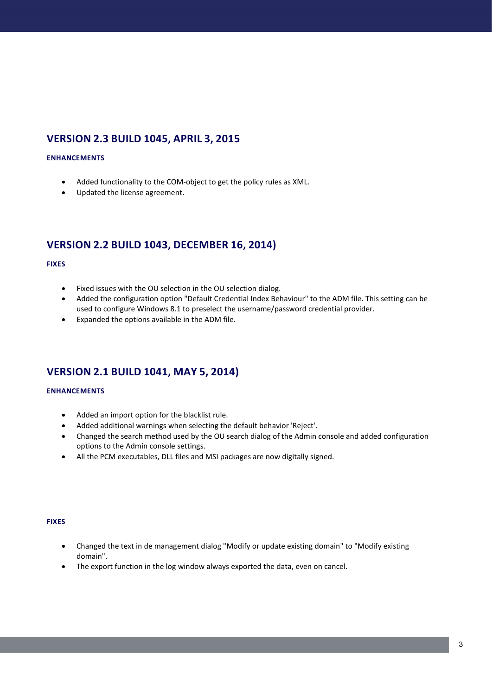# **VERSION 2.3 BUILD 1045, APRIL 3, 2015**

#### **ENHANCEMENTS**

- Added functionality to the COM-object to get the policy rules as XML.
- Updated the license agreement.

# **VERSION 2.2 BUILD 1043, DECEMBER 16, 2014)**

#### **FIXES**

- Fixed issues with the OU selection in the OU selection dialog.
- Added the configuration option "Default Credential Index Behaviour" to the ADM file. This setting can be used to configure Windows 8.1 to preselect the username/password credential provider.
- Expanded the options available in the ADM file.

## **VERSION 2.1 BUILD 1041, MAY 5, 2014)**

#### **ENHANCEMENTS**

- Added an import option for the blacklist rule.
- Added additional warnings when selecting the default behavior 'Reject'.
- Changed the search method used by the OU search dialog of the Admin console and added configuration options to the Admin console settings.
- All the PCM executables, DLL files and MSI packages are now digitally signed.

#### **FIXES**

- Changed the text in de management dialog "Modify or update existing domain" to "Modify existing domain".
- The export function in the log window always exported the data, even on cancel.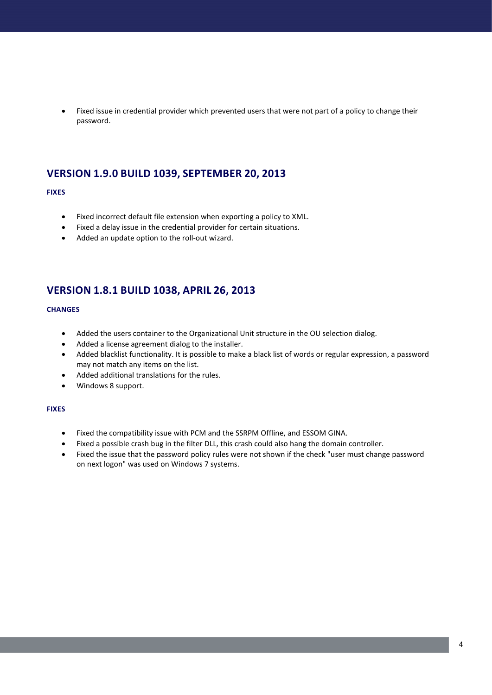• Fixed issue in credential provider which prevented users that were not part of a policy to change their password.

## **VERSION 1.9.0 BUILD 1039, SEPTEMBER 20, 2013**

#### **FIXES**

- Fixed incorrect default file extension when exporting a policy to XML.
- Fixed a delay issue in the credential provider for certain situations.
- Added an update option to the roll-out wizard.

## **VERSION 1.8.1 BUILD 1038, APRIL 26, 2013**

#### **CHANGES**

- Added the users container to the Organizational Unit structure in the OU selection dialog.
- Added a license agreement dialog to the installer.
- Added blacklist functionality. It is possible to make a black list of words or regular expression, a password may not match any items on the list.
- Added additional translations for the rules.
- Windows 8 support.

#### **FIXES**

- Fixed the compatibility issue with PCM and the SSRPM Offline, and ESSOM GINA.
- Fixed a possible crash bug in the filter DLL, this crash could also hang the domain controller.
- Fixed the issue that the password policy rules were not shown if the check "user must change password on next logon" was used on Windows 7 systems.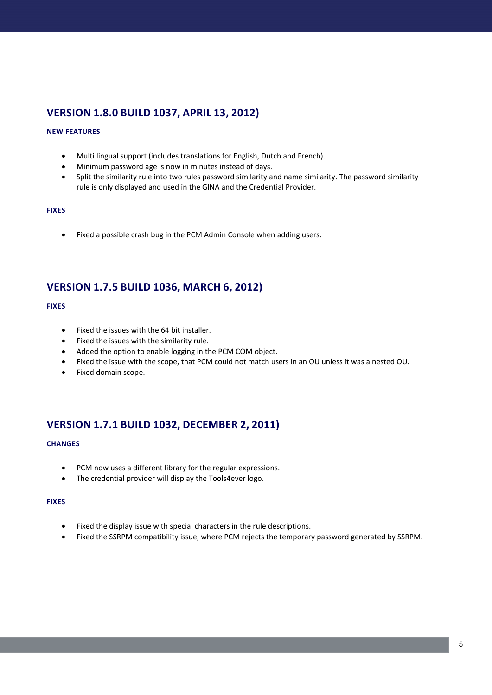# **VERSION 1.8.0 BUILD 1037, APRIL 13, 2012)**

#### **NEW FEATURES**

- Multi lingual support (includes translations for English, Dutch and French).
- Minimum password age is now in minutes instead of days.
- Split the similarity rule into two rules password similarity and name similarity. The password similarity rule is only displayed and used in the GINA and the Credential Provider.

#### **FIXES**

• Fixed a possible crash bug in the PCM Admin Console when adding users.

## **VERSION 1.7.5 BUILD 1036, MARCH 6, 2012)**

#### **FIXES**

- Fixed the issues with the 64 bit installer.
- Fixed the issues with the similarity rule.
- Added the option to enable logging in the PCM COM object.
- Fixed the issue with the scope, that PCM could not match users in an OU unless it was a nested OU.
- Fixed domain scope.

# **VERSION 1.7.1 BUILD 1032, DECEMBER 2, 2011)**

#### **CHANGES**

- PCM now uses a different library for the regular expressions.
- The credential provider will display the Tools4ever logo.

#### **FIXES**

- Fixed the display issue with special characters in the rule descriptions.
- Fixed the SSRPM compatibility issue, where PCM rejects the temporary password generated by SSRPM.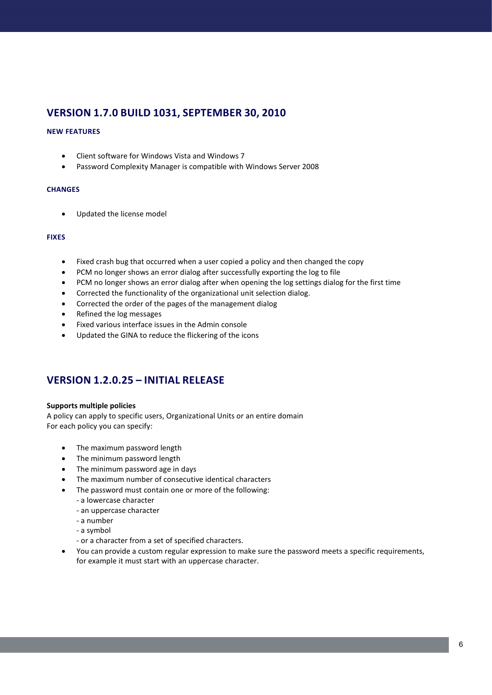# **VERSION 1.7.0 BUILD 1031, SEPTEMBER 30, 2010**

#### **NEW FEATURES**

- Client software for Windows Vista and Windows 7
- Password Complexity Manager is compatible with Windows Server 2008

#### **CHANGES**

• Updated the license model

#### **FIXES**

- Fixed crash bug that occurred when a user copied a policy and then changed the copy
- PCM no longer shows an error dialog after successfully exporting the log to file
- PCM no longer shows an error dialog after when opening the log settings dialog for the first time
- Corrected the functionality of the organizational unit selection dialog.
- Corrected the order of the pages of the management dialog
- Refined the log messages
- Fixed various interface issues in the Admin console
- Updated the GINA to reduce the flickering of the icons

## **VERSION 1.2.0.25 – INITIAL RELEASE**

#### **Supports multiple policies**

A policy can apply to specific users, Organizational Units or an entire domain For each policy you can specify:

- The maximum password length
- The minimum password length
- The minimum password age in days
- The maximum number of consecutive identical characters
- The password must contain one or more of the following:
	- a lowercase character
	- an uppercase character
	- a number
	- a symbol
	- or a character from a set of specified characters.
- You can provide a custom regular expression to make sure the password meets a specific requirements, for example it must start with an uppercase character.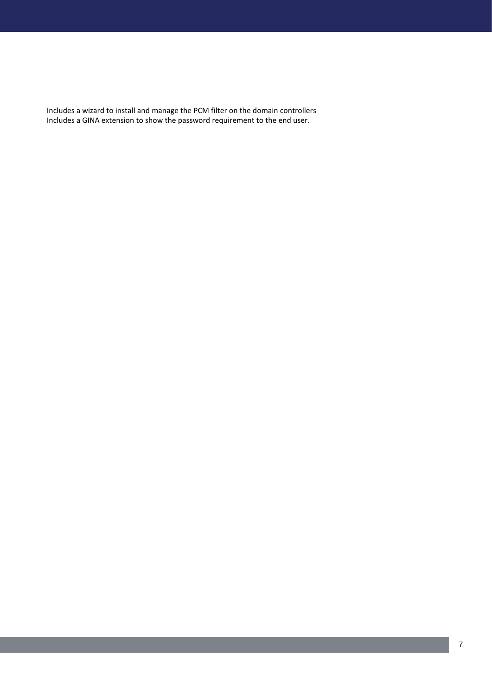Includes a wizard to install and manage the PCM filter on the domain controllers Includes a GINA extension to show the password requirement to the end user.